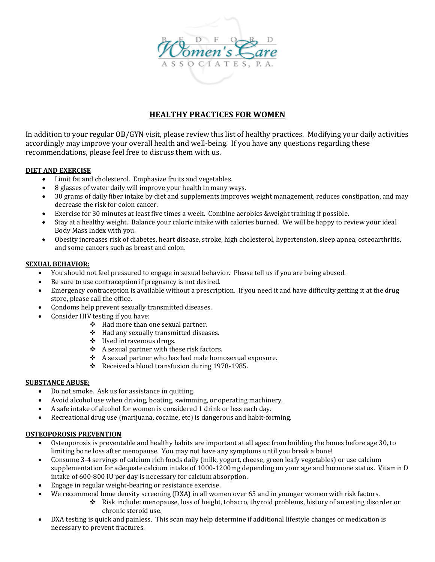

# **HEALTHY PRACTICES FOR WOMEN**

In addition to your regular OB/GYN visit, please review this list of healthy practices. Modifying your daily activities accordingly may improve your overall health and well-being. If you have any questions regarding these recommendations, please feel free to discuss them with us.

# **DIET AND EXERCISE**

- Limit fat and cholesterol. Emphasize fruits and vegetables.
- 8 glasses of water daily will improve your health in many ways.
- 30 grams of daily fiber intake by diet and supplements improves weight management, reduces constipation, and may decrease the risk for colon cancer.
- Exercise for 30 minutes at least five times a week. Combine aerobics &weight training if possible.
- Stay at a healthy weight. Balance your caloric intake with calories burned. We will be happy to review your ideal Body Mass Index with you.
- Obesity increases risk of diabetes, heart disease, stroke, high cholesterol, hypertension, sleep apnea, osteoarthritis, and some cancers such as breast and colon.

# **SEXUAL BEHAVIOR:**

- You should not feel pressured to engage in sexual behavior. Please tell us if you are being abused.
- Be sure to use contraception if pregnancy is not desired.
- Emergency contraception is available without a prescription. If you need it and have difficulty getting it at the drug store, please call the office.
- Condoms help prevent sexually transmitted diseases.
- Consider HIV testing if you have:
	- Had more than one sexual partner.
	- Had any sexually transmitted diseases.
	- Used intravenous drugs.
	- $\triangle$  A sexual partner with these risk factors.
	- $\triangle$  A sexual partner who has had male homosexual exposure.
	- \* Received a blood transfusion during 1978-1985.

## **SUBSTANCE ABUSE;**

- Do not smoke. Ask us for assistance in quitting.
- Avoid alcohol use when driving, boating, swimming, or operating machinery.
- A safe intake of alcohol for women is considered 1 drink or less each day.
- Recreational drug use (marijuana, cocaine, etc) is dangerous and habit-forming.

## **OSTEOPOROSIS PREVENTION**

- Osteoporosis is preventable and healthy habits are important at all ages: from building the bones before age 30, to limiting bone loss after menopause. You may not have any symptoms until you break a bone!
- Consume 3-4 servings of calcium rich foods daily (milk, yogurt, cheese, green leafy vegetables) or use calcium supplementation for adequate calcium intake of 1000-1200mg depending on your age and hormone status. Vitamin D intake of 600-800 IU per day is necessary for calcium absorption.
- Engage in regular weight-bearing or resistance exercise.
- We recommend bone density screening (DXA) in all women over 65 and in younger women with risk factors.
	- Risk include: menopause, loss of height, tobacco, thyroid problems, history of an eating disorder or chronic steroid use.
- DXA testing is quick and painless. This scan may help determine if additional lifestyle changes or medication is necessary to prevent fractures.